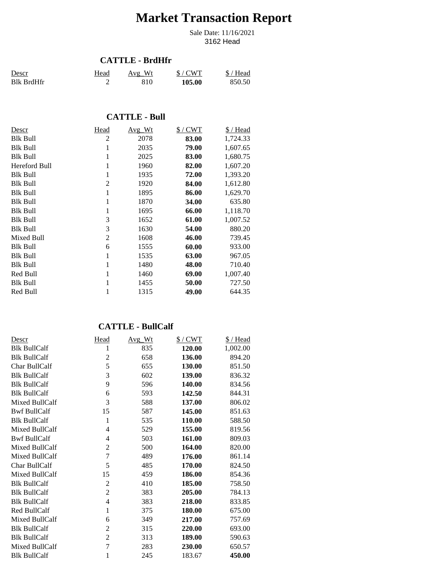# **Market Transaction Report**

3162 Head Sale Date: 11/16/2021

#### **CATTLE - BrdHfr**

| Descr             | Head | Avg Wt | $$/$ CWT | \$/Head |
|-------------------|------|--------|----------|---------|
| <b>Blk BrdHfr</b> |      |        | 105.00   | 850.50  |

## **CATTLE - Bull**

| Descr           | Head           | Avg Wt | $$/$ CWT | \$/Head  |
|-----------------|----------------|--------|----------|----------|
| Blk Bull        | $\overline{c}$ | 2078   | 83.00    | 1,724.33 |
| <b>Blk Bull</b> | 1              | 2035   | 79.00    | 1,607.65 |
| <b>Blk Bull</b> | 1              | 2025   | 83.00    | 1,680.75 |
| Hereford Bull   | 1              | 1960   | 82.00    | 1,607.20 |
| Blk Bull        | 1              | 1935   | 72.00    | 1,393.20 |
| <b>Blk Bull</b> | $\overline{2}$ | 1920   | 84.00    | 1,612.80 |
| Blk Bull        | 1              | 1895   | 86.00    | 1,629.70 |
| Blk Bull        | 1              | 1870   | 34.00    | 635.80   |
| <b>Blk Bull</b> | 1              | 1695   | 66.00    | 1,118.70 |
| <b>Blk Bull</b> | 3              | 1652   | 61.00    | 1,007.52 |
| <b>Blk Bull</b> | 3              | 1630   | 54.00    | 880.20   |
| Mixed Bull      | $\overline{2}$ | 1608   | 46.00    | 739.45   |
| Blk Bull        | 6              | 1555   | 60.00    | 933.00   |
| <b>Blk Bull</b> | 1              | 1535   | 63.00    | 967.05   |
| Blk Bull        | 1              | 1480   | 48.00    | 710.40   |
| Red Bull        |                | 1460   | 69.00    | 1,007.40 |
| Blk Bull        |                | 1455   | 50.00    | 727.50   |
| Red Bull        |                | 1315   | 49.00    | 644.35   |

## **CATTLE - BullCalf**

| Descr               | Head           | Avg_Wt | $$/$ CWT | \$/Head  |
|---------------------|----------------|--------|----------|----------|
| <b>Blk BullCalf</b> | 1              | 835    | 120.00   | 1,002.00 |
| <b>Blk BullCalf</b> | 2              | 658    | 136.00   | 894.20   |
| Char BullCalf       | 5              | 655    | 130.00   | 851.50   |
| <b>Blk BullCalf</b> | 3              | 602    | 139.00   | 836.32   |
| <b>Blk BullCalf</b> | 9              | 596    | 140.00   | 834.56   |
| <b>Blk BullCalf</b> | 6              | 593    | 142.50   | 844.31   |
| Mixed BullCalf      | 3              | 588    | 137.00   | 806.02   |
| <b>Bwf BullCalf</b> | 15             | 587    | 145.00   | 851.63   |
| <b>Blk BullCalf</b> | 1              | 535    | 110.00   | 588.50   |
| Mixed BullCalf      | $\overline{4}$ | 529    | 155.00   | 819.56   |
| <b>Bwf BullCalf</b> | 4              | 503    | 161.00   | 809.03   |
| Mixed BullCalf      | 2              | 500    | 164.00   | 820.00   |
| Mixed BullCalf      | 7              | 489    | 176.00   | 861.14   |
| Char BullCalf       | 5              | 485    | 170.00   | 824.50   |
| Mixed BullCalf      | 15             | 459    | 186.00   | 854.36   |
| <b>Blk BullCalf</b> | $\overline{2}$ | 410    | 185.00   | 758.50   |
| <b>Blk BullCalf</b> | $\overline{2}$ | 383    | 205.00   | 784.13   |
| <b>Blk BullCalf</b> | 4              | 383    | 218.00   | 833.85   |
| Red BullCalf        | 1              | 375    | 180.00   | 675.00   |
| Mixed BullCalf      | 6              | 349    | 217.00   | 757.69   |
| <b>Blk BullCalf</b> | $\overline{2}$ | 315    | 220.00   | 693.00   |
| <b>Blk BullCalf</b> | $\overline{c}$ | 313    | 189.00   | 590.63   |
| Mixed BullCalf      | 7              | 283    | 230.00   | 650.57   |
| <b>Blk BullCalf</b> | 1              | 245    | 183.67   | 450.00   |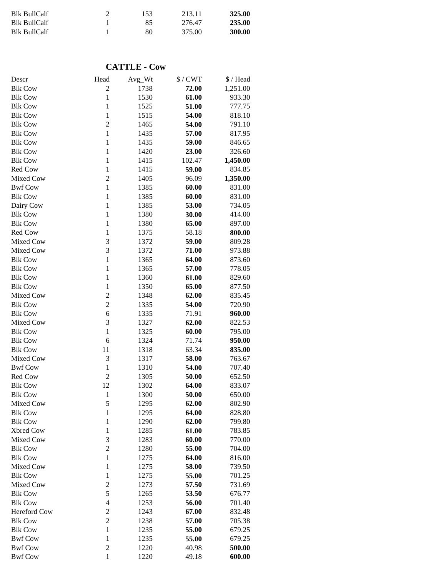| <b>Blk BullCalf</b> | 153 | 213.11 | 325.00 |
|---------------------|-----|--------|--------|
| <b>Blk BullCalf</b> | 85  | 276.47 | 235.00 |
| <b>Blk BullCalf</b> | 80  | 375.00 | 300.00 |

#### **CATTLE - Cow**

| Descr          | Head           | Avg Wt       | $$/$ CWT | \$/Head  |
|----------------|----------------|--------------|----------|----------|
| <b>Blk Cow</b> | $\overline{c}$ | 1738         | 72.00    | 1,251.00 |
| <b>Blk Cow</b> | $\mathbf{1}$   | 1530         | 61.00    | 933.30   |
| <b>Blk Cow</b> | $\mathbf{1}$   | 1525         | 51.00    | 777.75   |
| <b>Blk Cow</b> | $\mathbf{1}$   | 1515         | 54.00    | 818.10   |
| <b>Blk Cow</b> | $\overline{c}$ | 1465         | 54.00    | 791.10   |
| <b>Blk Cow</b> | $\mathbf{1}$   | 1435         | 57.00    | 817.95   |
| <b>Blk Cow</b> | $\mathbf{1}$   | 1435         | 59.00    | 846.65   |
| <b>Blk Cow</b> | $\mathbf{1}$   | 1420         | 23.00    | 326.60   |
| <b>Blk Cow</b> | $\mathbf{1}$   | 1415         | 102.47   | 1,450.00 |
| Red Cow        | $\mathbf{1}$   | 1415         | 59.00    | 834.85   |
| Mixed Cow      | $\overline{c}$ | 1405         | 96.09    | 1,350.00 |
| <b>Bwf Cow</b> | $\mathbf{1}$   | 1385         | 60.00    | 831.00   |
| <b>Blk Cow</b> | $\mathbf{1}$   | 1385         | 60.00    | 831.00   |
| Dairy Cow      | $\mathbf{1}$   | 1385         | 53.00    | 734.05   |
| <b>Blk Cow</b> | $\mathbf{1}$   | 1380         | 30.00    | 414.00   |
| <b>Blk Cow</b> | $\mathbf{1}$   | 1380         | 65.00    | 897.00   |
| Red Cow        | $\mathbf{1}$   | 1375         | 58.18    | 800.00   |
| Mixed Cow      | 3              | 1372         | 59.00    | 809.28   |
| Mixed Cow      | 3              | 1372         | 71.00    | 973.88   |
| <b>Blk Cow</b> | $\mathbf{1}$   | 1365         | 64.00    | 873.60   |
| <b>Blk Cow</b> | $\mathbf{1}$   | 1365         | 57.00    | 778.05   |
| <b>Blk Cow</b> | $\mathbf{1}$   | 1360         | 61.00    | 829.60   |
| <b>Blk Cow</b> | $\mathbf{1}$   | 1350         | 65.00    | 877.50   |
| Mixed Cow      | $\overline{c}$ | 1348         | 62.00    | 835.45   |
| <b>Blk Cow</b> | $\overline{c}$ |              | 54.00    |          |
| <b>Blk Cow</b> | 6              | 1335<br>1335 |          | 720.90   |
|                | 3              |              | 71.91    | 960.00   |
| Mixed Cow      |                | 1327         | 62.00    | 822.53   |
| <b>Blk Cow</b> | $\mathbf{1}$   | 1325         | 60.00    | 795.00   |
| <b>Blk Cow</b> | 6              | 1324         | 71.74    | 950.00   |
| <b>Blk Cow</b> | 11             | 1318         | 63.34    | 835.00   |
| Mixed Cow      | 3              | 1317         | 58.00    | 763.67   |
| <b>Bwf Cow</b> | $\mathbf{1}$   | 1310         | 54.00    | 707.40   |
| Red Cow        | $\overline{2}$ | 1305         | 50.00    | 652.50   |
| <b>Blk Cow</b> | 12             | 1302         | 64.00    | 833.07   |
| <b>Blk Cow</b> | $\mathbf{1}$   | 1300         | 50.00    | 650.00   |
| Mixed Cow      | 5              | 1295         | 62.00    | 802.90   |
| <b>Blk Cow</b> | $\mathbf{1}$   | 1295         | 64.00    | 828.80   |
| <b>Blk Cow</b> | $\mathbf{1}$   | 1290         | 62.00    | 799.80   |
| Xbred Cow      | $\mathbf{1}$   | 1285         | 61.00    | 783.85   |
| Mixed Cow      | 3              | 1283         | 60.00    | 770.00   |
| <b>Blk Cow</b> | $\overline{2}$ | 1280         | 55.00    | 704.00   |
| <b>Blk Cow</b> | $\mathbf{1}$   | 1275         | 64.00    | 816.00   |
| Mixed Cow      | $\mathbf{1}$   | 1275         | 58.00    | 739.50   |
| <b>Blk Cow</b> | $\mathbf{1}$   | 1275         | 55.00    | 701.25   |
| Mixed Cow      | $\sqrt{2}$     | 1273         | 57.50    | 731.69   |
| <b>Blk Cow</b> | 5              | 1265         | 53.50    | 676.77   |
| <b>Blk Cow</b> | $\overline{4}$ | 1253         | 56.00    | 701.40   |
| Hereford Cow   | $\overline{c}$ | 1243         | 67.00    | 832.48   |
| <b>Blk Cow</b> | $\overline{c}$ | 1238         | 57.00    | 705.38   |
| <b>Blk Cow</b> | $\mathbf{1}$   | 1235         | 55.00    | 679.25   |
| <b>Bwf Cow</b> | $\mathbf{1}$   | 1235         | 55.00    | 679.25   |
| <b>Bwf Cow</b> | $\overline{c}$ | 1220         | 40.98    | 500.00   |
| <b>Bwf Cow</b> | $\mathbf{1}$   | 1220         | 49.18    | 600.00   |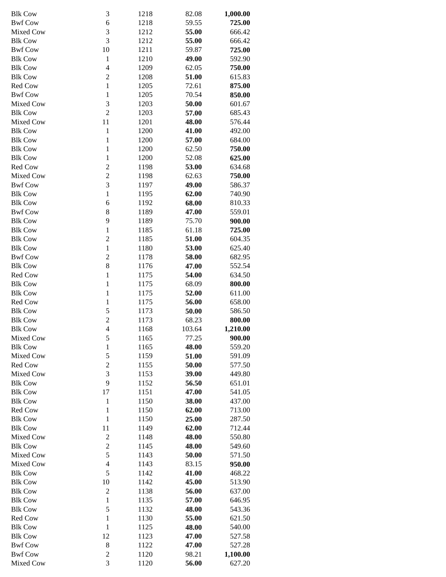| <b>Blk Cow</b> | 3                | 1218 | 82.08  | 1,000.00 |
|----------------|------------------|------|--------|----------|
| <b>Bwf Cow</b> | 6                | 1218 | 59.55  | 725.00   |
| Mixed Cow      | 3                | 1212 | 55.00  | 666.42   |
| <b>Blk Cow</b> | 3                | 1212 | 55.00  | 666.42   |
| <b>Bwf Cow</b> | 10               | 1211 | 59.87  | 725.00   |
| <b>Blk Cow</b> | $\mathbf{1}$     | 1210 | 49.00  | 592.90   |
| <b>Blk Cow</b> | $\overline{4}$   | 1209 | 62.05  | 750.00   |
| <b>Blk Cow</b> | $\boldsymbol{2}$ | 1208 | 51.00  | 615.83   |
| Red Cow        | $\mathbf{1}$     | 1205 | 72.61  | 875.00   |
| <b>Bwf Cow</b> | $\mathbf{1}$     | 1205 | 70.54  | 850.00   |
| Mixed Cow      | 3                | 1203 | 50.00  | 601.67   |
|                | $\overline{2}$   | 1203 | 57.00  | 685.43   |
| <b>Blk Cow</b> |                  |      |        |          |
| Mixed Cow      | 11               | 1201 | 48.00  | 576.44   |
| <b>Blk Cow</b> | $\mathbf{1}$     | 1200 | 41.00  | 492.00   |
| <b>Blk Cow</b> | $\mathbf{1}$     | 1200 | 57.00  | 684.00   |
| <b>Blk Cow</b> | $\mathbf{1}$     | 1200 | 62.50  | 750.00   |
| <b>Blk Cow</b> | $\mathbf{1}$     | 1200 | 52.08  | 625.00   |
| Red Cow        | $\overline{c}$   | 1198 | 53.00  | 634.68   |
| Mixed Cow      | $\overline{c}$   | 1198 | 62.63  | 750.00   |
| <b>Bwf Cow</b> | 3                | 1197 | 49.00  | 586.37   |
| <b>Blk Cow</b> | $\mathbf{1}$     | 1195 | 62.00  | 740.90   |
| <b>Blk Cow</b> | 6                | 1192 | 68.00  | 810.33   |
| <b>Bwf Cow</b> | 8                | 1189 | 47.00  | 559.01   |
| <b>Blk Cow</b> | 9                | 1189 | 75.70  | 900.00   |
| <b>Blk Cow</b> | $\mathbf{1}$     | 1185 | 61.18  | 725.00   |
| <b>Blk Cow</b> | $\overline{c}$   | 1185 | 51.00  | 604.35   |
| <b>Blk Cow</b> | $\mathbf{1}$     | 1180 | 53.00  | 625.40   |
| <b>Bwf Cow</b> | $\overline{c}$   | 1178 | 58.00  | 682.95   |
| <b>Blk Cow</b> | 8                | 1176 | 47.00  | 552.54   |
| Red Cow        | $\mathbf{1}$     | 1175 | 54.00  | 634.50   |
| <b>Blk Cow</b> | $\mathbf{1}$     | 1175 | 68.09  | 800.00   |
| <b>Blk Cow</b> | $\mathbf{1}$     | 1175 | 52.00  | 611.00   |
| Red Cow        | $\mathbf{1}$     | 1175 | 56.00  | 658.00   |
| <b>Blk Cow</b> | 5                | 1173 | 50.00  | 586.50   |
| <b>Blk Cow</b> | $\boldsymbol{2}$ | 1173 | 68.23  | 800.00   |
| <b>Blk Cow</b> | $\overline{4}$   | 1168 | 103.64 | 1,210.00 |
| Mixed Cow      | 5                | 1165 | 77.25  | 900.00   |
| <b>Blk Cow</b> | $\mathbf{1}$     | 1165 | 48.00  | 559.20   |
| Mixed Cow      | 5                | 1159 | 51.00  | 591.09   |
| Red Cow        | $\overline{c}$   | 1155 | 50.00  | 577.50   |
| Mixed Cow      | 3                | 1153 | 39.00  | 449.80   |
| <b>Blk Cow</b> | 9                | 1152 | 56.50  | 651.01   |
| <b>Blk Cow</b> | 17               | 1151 | 47.00  | 541.05   |
| <b>Blk Cow</b> | $\mathbf{1}$     | 1150 | 38.00  | 437.00   |
| Red Cow        | $\mathbf{1}$     | 1150 | 62.00  | 713.00   |
| <b>Blk Cow</b> | $\mathbf{1}$     | 1150 | 25.00  | 287.50   |
| <b>Blk Cow</b> |                  | 1149 | 62.00  |          |
|                | 11               |      |        | 712.44   |
| Mixed Cow      | $\sqrt{2}$       | 1148 | 48.00  | 550.80   |
| <b>Blk Cow</b> | $\overline{c}$   | 1145 | 48.00  | 549.60   |
| Mixed Cow      | 5                | 1143 | 50.00  | 571.50   |
| Mixed Cow      | $\overline{4}$   | 1143 | 83.15  | 950.00   |
| <b>Blk Cow</b> | 5                | 1142 | 41.00  | 468.22   |
| <b>Blk Cow</b> | 10               | 1142 | 45.00  | 513.90   |
| <b>Blk Cow</b> | $\overline{2}$   | 1138 | 56.00  | 637.00   |
| <b>Blk Cow</b> | $\mathbf{1}$     | 1135 | 57.00  | 646.95   |
| <b>Blk Cow</b> | 5                | 1132 | 48.00  | 543.36   |
| Red Cow        | $\mathbf{1}$     | 1130 | 55.00  | 621.50   |
| <b>Blk Cow</b> | $\mathbf{1}$     | 1125 | 48.00  | 540.00   |
| <b>Blk Cow</b> | 12               | 1123 | 47.00  | 527.58   |
| <b>Bwf Cow</b> | 8                | 1122 | 47.00  | 527.28   |
| <b>Bwf Cow</b> | $\overline{c}$   | 1120 | 98.21  | 1,100.00 |
| Mixed Cow      | 3                | 1120 | 56.00  | 627.20   |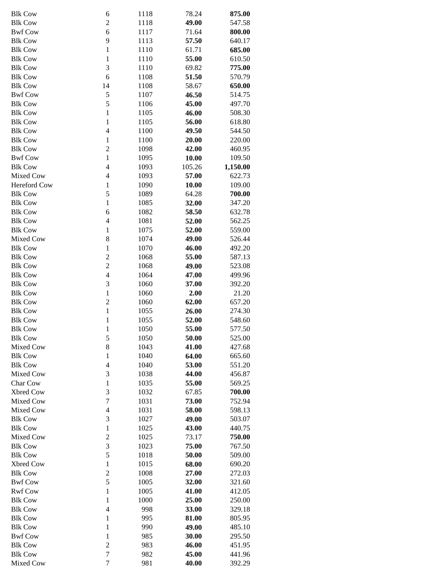| <b>Blk Cow</b>      | 6                       | 1118 | 78.24  | 875.00   |
|---------------------|-------------------------|------|--------|----------|
| <b>Blk Cow</b>      | $\mathfrak{2}$          | 1118 | 49.00  | 547.58   |
| <b>Bwf Cow</b>      | 6                       | 1117 | 71.64  | 800.00   |
| <b>Blk Cow</b>      | 9                       | 1113 | 57.50  | 640.17   |
| <b>Blk Cow</b>      | $\mathbf{1}$            | 1110 | 61.71  | 685.00   |
| <b>Blk Cow</b>      | $\mathbf{1}$            | 1110 | 55.00  | 610.50   |
| <b>Blk Cow</b>      | 3                       | 1110 | 69.82  |          |
|                     |                         |      |        | 775.00   |
| <b>Blk Cow</b>      | 6                       | 1108 | 51.50  | 570.79   |
| <b>Blk Cow</b>      | 14                      | 1108 | 58.67  | 650.00   |
| <b>Bwf Cow</b>      | 5                       | 1107 | 46.50  | 514.75   |
| <b>Blk Cow</b>      | 5                       | 1106 | 45.00  | 497.70   |
| <b>Blk Cow</b>      | $\mathbf{1}$            | 1105 | 46.00  | 508.30   |
| <b>Blk Cow</b>      | $\mathbf 1$             | 1105 | 56.00  | 618.80   |
| <b>Blk Cow</b>      | $\overline{4}$          | 1100 | 49.50  | 544.50   |
| <b>Blk Cow</b>      | $\mathbf{1}$            | 1100 | 20.00  | 220.00   |
| <b>Blk Cow</b>      | $\overline{2}$          | 1098 | 42.00  | 460.95   |
|                     |                         |      | 10.00  |          |
| <b>Bwf Cow</b>      | $\mathbf{1}$            | 1095 |        | 109.50   |
| <b>Blk Cow</b>      | $\overline{4}$          | 1093 | 105.26 | 1,150.00 |
| Mixed Cow           | $\overline{4}$          | 1093 | 57.00  | 622.73   |
| <b>Hereford Cow</b> | $\mathbf{1}$            | 1090 | 10.00  | 109.00   |
| <b>Blk Cow</b>      | 5                       | 1089 | 64.28  | 700.00   |
| <b>Blk Cow</b>      | $\mathbf{1}$            | 1085 | 32.00  | 347.20   |
| <b>Blk Cow</b>      | 6                       | 1082 | 58.50  | 632.78   |
| <b>Blk Cow</b>      | $\overline{4}$          | 1081 | 52.00  | 562.25   |
| <b>Blk Cow</b>      | $\mathbf{1}$            | 1075 | 52.00  | 559.00   |
| Mixed Cow           | 8                       | 1074 | 49.00  | 526.44   |
| <b>Blk Cow</b>      | $\mathbf{1}$            | 1070 | 46.00  | 492.20   |
| <b>Blk Cow</b>      | $\overline{2}$          | 1068 | 55.00  | 587.13   |
|                     |                         |      |        |          |
| <b>Blk Cow</b>      | $\overline{c}$          | 1068 | 49.00  | 523.08   |
| <b>Blk Cow</b>      | $\overline{\mathbf{4}}$ | 1064 | 47.00  | 499.96   |
| <b>Blk Cow</b>      | 3                       | 1060 | 37.00  | 392.20   |
| <b>Blk Cow</b>      | $\mathbf{1}$            | 1060 | 2.00   | 21.20    |
| <b>Blk Cow</b>      | $\overline{2}$          | 1060 | 62.00  | 657.20   |
| <b>Blk Cow</b>      | $\,1$                   | 1055 | 26.00  | 274.30   |
| <b>Blk Cow</b>      | $\mathbf{1}$            | 1055 | 52.00  | 548.60   |
| <b>Blk Cow</b>      | $\mathbf{1}$            | 1050 | 55.00  | 577.50   |
| <b>Blk Cow</b>      | 5                       | 1050 | 50.00  | 525.00   |
| Mixed Cow           | 8                       | 1043 | 41.00  | 427.68   |
| <b>Blk Cow</b>      | $\mathbf{1}$            | 1040 | 64.00  | 665.60   |
| <b>Blk Cow</b>      | $\overline{4}$          | 1040 | 53.00  | 551.20   |
| Mixed Cow           | $\mathfrak{Z}$          | 1038 | 44.00  | 456.87   |
|                     |                         |      |        |          |
| Char Cow            | $\mathbf{1}$            | 1035 | 55.00  | 569.25   |
| Xbred Cow           | 3                       | 1032 | 67.85  | 700.00   |
| Mixed Cow           | $\boldsymbol{7}$        | 1031 | 73.00  | 752.94   |
| Mixed Cow           | $\overline{4}$          | 1031 | 58.00  | 598.13   |
| <b>Blk Cow</b>      | $\mathfrak{Z}$          | 1027 | 49.00  | 503.07   |
| <b>Blk Cow</b>      | $\mathbf{1}$            | 1025 | 43.00  | 440.75   |
| Mixed Cow           | $\boldsymbol{2}$        | 1025 | 73.17  | 750.00   |
| <b>Blk Cow</b>      | 3                       | 1023 | 75.00  | 767.50   |
| <b>Blk Cow</b>      | 5                       | 1018 | 50.00  | 509.00   |
| Xbred Cow           | $\mathbf{1}$            | 1015 | 68.00  | 690.20   |
| <b>Blk Cow</b>      | $\boldsymbol{2}$        | 1008 | 27.00  | 272.03   |
| <b>Bwf Cow</b>      | 5                       | 1005 | 32.00  | 321.60   |
| <b>Rwf Cow</b>      | 1                       | 1005 | 41.00  | 412.05   |
| <b>Blk Cow</b>      | $\mathbf{1}$            | 1000 | 25.00  | 250.00   |
|                     | $\overline{4}$          |      |        |          |
| <b>Blk Cow</b>      |                         | 998  | 33.00  | 329.18   |
| <b>Blk Cow</b>      | $\mathbf{1}$            | 995  | 81.00  | 805.95   |
| <b>Blk Cow</b>      | $\mathbf{1}$            | 990  | 49.00  | 485.10   |
| <b>Bwf Cow</b>      | $\mathbf{1}$            | 985  | 30.00  | 295.50   |
| <b>Blk Cow</b>      | $\overline{2}$          | 983  | 46.00  | 451.95   |
| <b>Blk Cow</b>      | $\boldsymbol{7}$        | 982  | 45.00  | 441.96   |
| Mixed Cow           | $\boldsymbol{7}$        | 981  | 40.00  | 392.29   |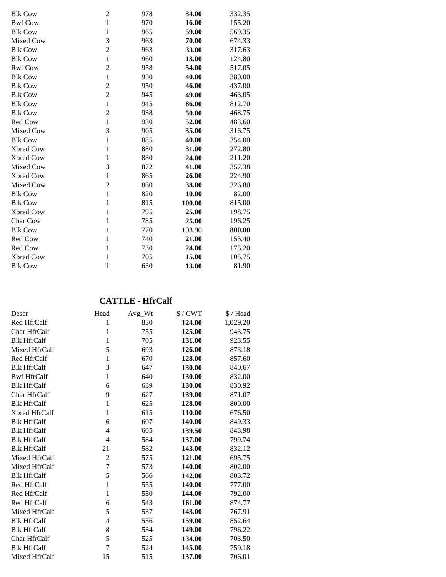| <b>Blk Cow</b>   | $\overline{c}$ | 978 | 34.00  | 332.35 |
|------------------|----------------|-----|--------|--------|
| <b>Bwf Cow</b>   | $\mathbf{1}$   | 970 | 16.00  | 155.20 |
| <b>Blk Cow</b>   | $\mathbf{1}$   | 965 | 59.00  | 569.35 |
| Mixed Cow        | 3              | 963 | 70.00  | 674.33 |
| <b>Blk Cow</b>   | $\overline{c}$ | 963 | 33.00  | 317.63 |
| <b>Blk Cow</b>   | $\mathbf{1}$   | 960 | 13.00  | 124.80 |
| <b>Rwf Cow</b>   | $\overline{2}$ | 958 | 54.00  | 517.05 |
| <b>Blk Cow</b>   | $\mathbf{1}$   | 950 | 40.00  | 380.00 |
| <b>Blk Cow</b>   | $\overline{2}$ | 950 | 46.00  | 437.00 |
| <b>Blk Cow</b>   | $\overline{2}$ | 945 | 49.00  | 463.05 |
| <b>Blk Cow</b>   | $\mathbf{1}$   | 945 | 86.00  | 812.70 |
| <b>Blk Cow</b>   | $\overline{c}$ | 938 | 50.00  | 468.75 |
| Red Cow          | $\mathbf{1}$   | 930 | 52.00  | 483.60 |
| Mixed Cow        | 3              | 905 | 35.00  | 316.75 |
| <b>Blk Cow</b>   | $\mathbf{1}$   | 885 | 40.00  | 354.00 |
| <b>Xbred Cow</b> | $\mathbf{1}$   | 880 | 31.00  | 272.80 |
| <b>Xbred Cow</b> | 1              | 880 | 24.00  | 211.20 |
| Mixed Cow        | 3              | 872 | 41.00  | 357.38 |
| Xbred Cow        | $\mathbf{1}$   | 865 | 26.00  | 224.90 |
| Mixed Cow        | $\overline{c}$ | 860 | 38.00  | 326.80 |
| <b>Blk Cow</b>   | $\mathbf{1}$   | 820 | 10.00  | 82.00  |
| <b>Blk Cow</b>   | $\mathbf{1}$   | 815 | 100.00 | 815.00 |
| <b>Xbred Cow</b> | $\mathbf{1}$   | 795 | 25.00  | 198.75 |
| Char Cow         | $\mathbf{1}$   | 785 | 25.00  | 196.25 |
| <b>Blk Cow</b>   | $\mathbf{1}$   | 770 | 103.90 | 800.00 |
| Red Cow          | $\mathbf{1}$   | 740 | 21.00  | 155.40 |
| Red Cow          | 1              | 730 | 24.00  | 175.20 |
| Xbred Cow        | $\mathbf{1}$   | 705 | 15.00  | 105.75 |
| <b>Blk Cow</b>   | 1              | 630 | 13.00  | 81.90  |

# **CATTLE - HfrCalf**

| Descr              | Head           | Avg Wt | $$/$ CWT | \$/Head  |
|--------------------|----------------|--------|----------|----------|
| Red HfrCalf        | 1              | 830    | 124.00   | 1,029.20 |
| Char HfrCalf       | 1              | 755    | 125.00   | 943.75   |
| <b>Blk HfrCalf</b> | 1              | 705    | 131.00   | 923.55   |
| Mixed HfrCalf      | 5              | 693    | 126.00   | 873.18   |
| Red HfrCalf        | 1              | 670    | 128.00   | 857.60   |
| <b>Blk HfrCalf</b> | 3              | 647    | 130.00   | 840.67   |
| <b>Bwf HfrCalf</b> | $\mathbf 1$    | 640    | 130.00   | 832.00   |
| <b>Blk HfrCalf</b> | 6              | 639    | 130.00   | 830.92   |
| Char HfrCalf       | 9              | 627    | 139.00   | 871.07   |
| <b>Blk HfrCalf</b> | 1              | 625    | 128.00   | 800.00   |
| Xbred HfrCalf      | 1              | 615    | 110.00   | 676.50   |
| <b>Blk HfrCalf</b> | 6              | 607    | 140.00   | 849.33   |
| <b>Blk HfrCalf</b> | 4              | 605    | 139.50   | 843.98   |
| <b>Blk HfrCalf</b> | 4              | 584    | 137.00   | 799.74   |
| <b>Blk HfrCalf</b> | 21             | 582    | 143.00   | 832.12   |
| Mixed HfrCalf      | $\overline{2}$ | 575    | 121.00   | 695.75   |
| Mixed HfrCalf      | $\overline{7}$ | 573    | 140.00   | 802.00   |
| <b>Blk HfrCalf</b> | 5              | 566    | 142.00   | 803.72   |
| Red HfrCalf        | $\mathbf{1}$   | 555    | 140.00   | 777.00   |
| Red HfrCalf        | 1              | 550    | 144.00   | 792.00   |
| Red HfrCalf        | 6              | 543    | 161.00   | 874.77   |
| Mixed HfrCalf      | 5              | 537    | 143.00   | 767.91   |
| <b>Blk HfrCalf</b> | 4              | 536    | 159.00   | 852.64   |
| <b>Blk HfrCalf</b> | 8              | 534    | 149.00   | 796.22   |
| Char HfrCalf       | 5              | 525    | 134.00   | 703.50   |
| <b>Blk HfrCalf</b> | 7              | 524    | 145.00   | 759.18   |
| Mixed HfrCalf      | 15             | 515    | 137.00   | 706.01   |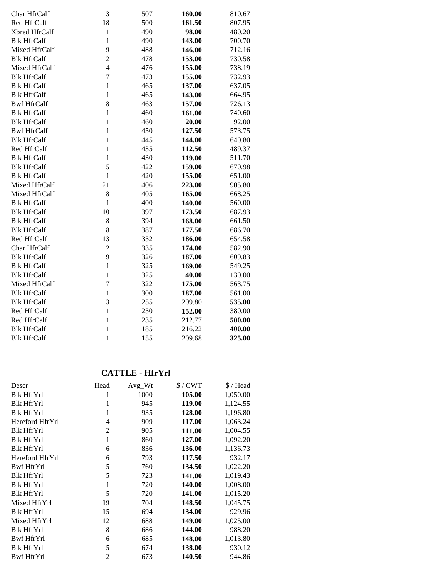| Char HfrCalf       | 3                       | 507 | 160.00 | 810.67 |
|--------------------|-------------------------|-----|--------|--------|
| Red HfrCalf        | 18                      | 500 | 161.50 | 807.95 |
| Xbred HfrCalf      | $\mathbf{1}$            | 490 | 98.00  | 480.20 |
| <b>Blk HfrCalf</b> | $\mathbf{1}$            | 490 | 143.00 | 700.70 |
| Mixed HfrCalf      | 9                       | 488 | 146.00 | 712.16 |
| <b>Blk HfrCalf</b> | $\overline{c}$          | 478 | 153.00 | 730.58 |
| Mixed HfrCalf      | $\overline{\mathbf{4}}$ | 476 | 155.00 | 738.19 |
| <b>Blk HfrCalf</b> | $\overline{7}$          | 473 | 155.00 | 732.93 |
| <b>Blk HfrCalf</b> | $\mathbf{1}$            | 465 | 137.00 | 637.05 |
| <b>Blk HfrCalf</b> | $\mathbf{1}$            | 465 | 143.00 | 664.95 |
| <b>Bwf HfrCalf</b> | 8                       | 463 | 157.00 | 726.13 |
| <b>Blk HfrCalf</b> | $\mathbf{1}$            | 460 | 161.00 | 740.60 |
| <b>Blk HfrCalf</b> | $\mathbf{1}$            | 460 | 20.00  | 92.00  |
| <b>Bwf HfrCalf</b> | $\mathbf{1}$            | 450 | 127.50 | 573.75 |
| <b>Blk HfrCalf</b> | $\mathbf{1}$            | 445 | 144.00 | 640.80 |
| Red HfrCalf        | $\mathbf{1}$            | 435 | 112.50 | 489.37 |
| <b>Blk HfrCalf</b> | $\mathbf{1}$            | 430 | 119.00 | 511.70 |
| <b>Blk HfrCalf</b> | 5                       | 422 | 159.00 | 670.98 |
| <b>Blk HfrCalf</b> | $\mathbf{1}$            | 420 | 155.00 | 651.00 |
| Mixed HfrCalf      | 21                      | 406 | 223.00 | 905.80 |
| Mixed HfrCalf      | 8                       | 405 | 165.00 | 668.25 |
| <b>Blk HfrCalf</b> | $\mathbf{1}$            | 400 | 140.00 | 560.00 |
| <b>Blk HfrCalf</b> | 10                      | 397 | 173.50 | 687.93 |
| <b>Blk HfrCalf</b> | 8                       | 394 | 168.00 | 661.50 |
| <b>Blk HfrCalf</b> | 8                       | 387 | 177.50 | 686.70 |
| Red HfrCalf        | 13                      | 352 | 186.00 | 654.58 |
| Char HfrCalf       | $\overline{2}$          | 335 | 174.00 | 582.90 |
| <b>Blk HfrCalf</b> | 9                       | 326 | 187.00 | 609.83 |
| <b>Blk HfrCalf</b> | $\mathbf{1}$            | 325 | 169.00 | 549.25 |
| <b>Blk HfrCalf</b> | $\mathbf{1}$            | 325 | 40.00  | 130.00 |
| Mixed HfrCalf      | $\overline{7}$          | 322 | 175.00 | 563.75 |
| <b>Blk HfrCalf</b> | $\mathbf{1}$            | 300 | 187.00 | 561.00 |
| <b>Blk HfrCalf</b> | 3                       | 255 | 209.80 | 535.00 |
| Red HfrCalf        | $\mathbf{1}$            | 250 | 152.00 | 380.00 |
| Red HfrCalf        | $\mathbf{1}$            | 235 | 212.77 | 500.00 |
| <b>Blk HfrCalf</b> | $\mathbf{1}$            | 185 | 216.22 | 400.00 |
| <b>Blk HfrCalf</b> | $\mathbf{1}$            | 155 | 209.68 | 325.00 |

## **CATTLE - HfrYrl**

| Descr             | Head           | $Avg_Wt$ | $$/$ CWT | \$ / Head |
|-------------------|----------------|----------|----------|-----------|
| <b>Blk HfrYrl</b> | 1              | 1000     | 105.00   | 1,050.00  |
| <b>Blk HfrYrl</b> | 1              | 945      | 119.00   | 1,124.55  |
| <b>Blk HfrYrl</b> | 1              | 935      | 128.00   | 1,196.80  |
| Hereford HfrYrl   | 4              | 909      | 117.00   | 1,063.24  |
| <b>Blk HfrYrl</b> | $\overline{2}$ | 905      | 111.00   | 1,004.55  |
| <b>Blk HfrYrl</b> | 1              | 860      | 127.00   | 1,092.20  |
| <b>Blk HfrYrl</b> | 6              | 836      | 136.00   | 1,136.73  |
| Hereford HfrYrl   | 6              | 793      | 117.50   | 932.17    |
| Bwf HfrYrl        | 5              | 760      | 134.50   | 1,022.20  |
| <b>Blk HfrYrl</b> | 5              | 723      | 141.00   | 1,019.43  |
| <b>Blk HfrYrl</b> | 1              | 720      | 140.00   | 1,008.00  |
| <b>Blk HfrYrl</b> | 5              | 720      | 141.00   | 1,015.20  |
| Mixed HfrYrl      | 19             | 704      | 148.50   | 1,045.75  |
| <b>Blk HfrYrl</b> | 15             | 694      | 134.00   | 929.96    |
| Mixed HfrYrl      | 12             | 688      | 149.00   | 1,025.00  |
| <b>Blk HfrYrl</b> | 8              | 686      | 144.00   | 988.20    |
| <b>Bwf HfrYrl</b> | 6              | 685      | 148.00   | 1,013.80  |
| <b>Blk HfrYrl</b> | 5              | 674      | 138.00   | 930.12    |
| <b>Bwf HfrYrl</b> | $\overline{2}$ | 673      | 140.50   | 944.86    |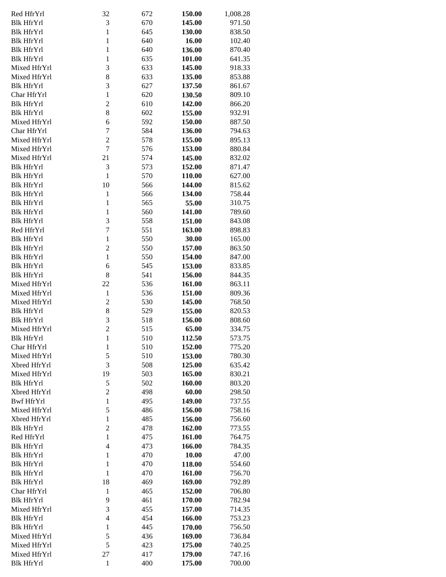| Red HfrYrl        | 32             | 672 | 150.00 | 1,008.28 |
|-------------------|----------------|-----|--------|----------|
| <b>Blk HfrYrl</b> | 3              | 670 | 145.00 | 971.50   |
| <b>Blk HfrYrl</b> | $\mathbf{1}$   | 645 | 130.00 | 838.50   |
| <b>Blk HfrYrl</b> | $\mathbf{1}$   | 640 | 16.00  | 102.40   |
| <b>Blk HfrYrl</b> | $\mathbf{1}$   |     | 136.00 |          |
|                   |                | 640 |        | 870.40   |
| <b>Blk HfrYrl</b> | $\mathbf{1}$   | 635 | 101.00 | 641.35   |
| Mixed HfrYrl      | 3              | 633 | 145.00 | 918.33   |
| Mixed HfrYrl      | 8              | 633 | 135.00 | 853.88   |
| <b>Blk HfrYrl</b> | 3              | 627 | 137.50 | 861.67   |
| Char HfrYrl       | $\mathbf{1}$   | 620 | 130.50 | 809.10   |
| <b>Blk HfrYrl</b> | $\overline{c}$ | 610 | 142.00 | 866.20   |
| <b>Blk HfrYrl</b> | 8              | 602 | 155.00 | 932.91   |
| Mixed HfrYrl      | 6              | 592 | 150.00 | 887.50   |
| Char HfrYrl       | $\overline{7}$ | 584 | 136.00 | 794.63   |
| Mixed HfrYrl      | $\overline{c}$ | 578 | 155.00 | 895.13   |
| Mixed HfrYrl      | $\overline{7}$ | 576 | 153.00 | 880.84   |
| Mixed HfrYrl      | 21             | 574 | 145.00 | 832.02   |
| <b>Blk HfrYrl</b> | 3              | 573 | 152.00 | 871.47   |
| <b>Blk HfrYrl</b> | $\mathbf{1}$   | 570 | 110.00 | 627.00   |
| <b>Blk HfrYrl</b> | 10             | 566 | 144.00 | 815.62   |
|                   |                |     |        |          |
| <b>Blk HfrYrl</b> | $\mathbf{1}$   | 566 | 134.00 | 758.44   |
| <b>Blk HfrYrl</b> | $\mathbf{1}$   | 565 | 55.00  | 310.75   |
| <b>Blk HfrYrl</b> | $\mathbf{1}$   | 560 | 141.00 | 789.60   |
| <b>Blk HfrYrl</b> | 3              | 558 | 151.00 | 843.08   |
| Red HfrYrl        | $\overline{7}$ | 551 | 163.00 | 898.83   |
| <b>Blk HfrYrl</b> | $\mathbf{1}$   | 550 | 30.00  | 165.00   |
| <b>Blk HfrYrl</b> | $\overline{c}$ | 550 | 157.00 | 863.50   |
| <b>Blk HfrYrl</b> | $\mathbf{1}$   | 550 | 154.00 | 847.00   |
| <b>Blk HfrYrl</b> | 6              | 545 | 153.00 | 833.85   |
| <b>Blk HfrYrl</b> | 8              | 541 | 156.00 | 844.35   |
| Mixed HfrYrl      | 22             | 536 | 161.00 | 863.11   |
| Mixed HfrYrl      | $\mathbf{1}$   | 536 | 151.00 | 809.36   |
| Mixed HfrYrl      | $\overline{c}$ | 530 | 145.00 | 768.50   |
| <b>Blk HfrYrl</b> | 8              | 529 | 155.00 | 820.53   |
| <b>Blk HfrYrl</b> | 3              | 518 | 156.00 | 808.60   |
| Mixed HfrYrl      | $\overline{c}$ | 515 | 65.00  | 334.75   |
| <b>Blk HfrYrl</b> | $\mathbf{1}$   | 510 | 112.50 | 573.75   |
| Char HfrYrl       | $\mathbf{1}$   | 510 | 152.00 | 775.20   |
| Mixed HfrYrl      |                |     |        | 780.30   |
|                   | 5              | 510 | 153.00 |          |
| Xbred HfrYrl      | 3              | 508 | 125.00 | 635.42   |
| Mixed HfrYrl      | 19             | 503 | 165.00 | 830.21   |
| <b>Blk HfrYrl</b> | 5              | 502 | 160.00 | 803.20   |
| Xbred HfrYrl      | $\overline{c}$ | 498 | 60.00  | 298.50   |
| <b>Bwf HfrYrl</b> | $\mathbf{1}$   | 495 | 149.00 | 737.55   |
| Mixed HfrYrl      | 5              | 486 | 156.00 | 758.16   |
| Xbred HfrYrl      | $\mathbf{1}$   | 485 | 156.00 | 756.60   |
| <b>Blk HfrYrl</b> | $\overline{c}$ | 478 | 162.00 | 773.55   |
| Red HfrYrl        | $\mathbf{1}$   | 475 | 161.00 | 764.75   |
| <b>Blk HfrYrl</b> | $\overline{4}$ | 473 | 166.00 | 784.35   |
| <b>Blk HfrYrl</b> | $\mathbf{1}$   | 470 | 10.00  | 47.00    |
| <b>Blk HfrYrl</b> | $\mathbf{1}$   | 470 | 118.00 | 554.60   |
| <b>Blk HfrYrl</b> | $\mathbf{1}$   | 470 | 161.00 | 756.70   |
| <b>Blk HfrYrl</b> | 18             | 469 | 169.00 | 792.89   |
| Char HfrYrl       | $\mathbf{1}$   | 465 | 152.00 | 706.80   |
| <b>Blk HfrYrl</b> | 9              | 461 | 170.00 | 782.94   |
| Mixed HfrYrl      | 3              | 455 | 157.00 | 714.35   |
| <b>Blk HfrYrl</b> | $\overline{4}$ | 454 | 166.00 | 753.23   |
| <b>Blk HfrYrl</b> | $\mathbf{1}$   | 445 | 170.00 | 756.50   |
| Mixed HfrYrl      |                |     |        |          |
|                   | 5              | 436 | 169.00 | 736.84   |
| Mixed HfrYrl      | 5              | 423 | 175.00 | 740.25   |
| Mixed HfrYrl      | 27             | 417 | 179.00 | 747.16   |
| <b>Blk HfrYrl</b> | $\mathbf{1}$   | 400 | 175.00 | 700.00   |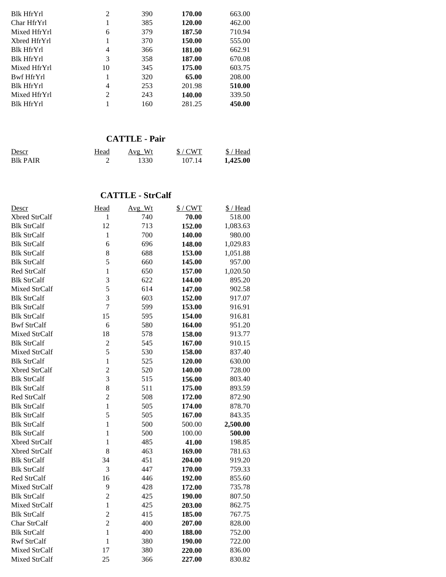| Blk HfrYrl        | 2  | 390 | 170.00 | 663.00 |
|-------------------|----|-----|--------|--------|
| Char HfrYrl       |    | 385 | 120.00 | 462.00 |
| Mixed HfrYrl      | 6  | 379 | 187.50 | 710.94 |
| Xbred HfrYrl      | 1  | 370 | 150.00 | 555.00 |
| <b>Blk HfrYrl</b> | 4  | 366 | 181.00 | 662.91 |
| <b>Blk HfrYrl</b> | 3  | 358 | 187.00 | 670.08 |
| Mixed HfrYrl      | 10 | 345 | 175.00 | 603.75 |
| Bwf HfrYrl        |    | 320 | 65.00  | 208.00 |
| <b>Blk HfrYrl</b> | 4  | 253 | 201.98 | 510.00 |
| Mixed HfrYrl      | 2  | 243 | 140.00 | 339.50 |
| <b>Blk HfrYrl</b> |    | 160 | 281.25 | 450.00 |

# **CATTLE - Pair**

| Descr           | Head | Avg Wt | $$/$ CWT | $$/$ Head |
|-----------------|------|--------|----------|-----------|
| <b>Blk PAIR</b> |      | 1330   | 107.14   | 1,425.00  |

## **CATTLE - StrCalf**

| Descr              | Head           | Avg_Wt | $$/$ CWT | \$/Head  |
|--------------------|----------------|--------|----------|----------|
| Xbred StrCalf      | 1              | 740    | 70.00    | 518.00   |
| <b>Blk StrCalf</b> | 12             | 713    | 152.00   | 1,083.63 |
| <b>Blk StrCalf</b> | $\mathbf{1}$   | 700    | 140.00   | 980.00   |
| <b>Blk StrCalf</b> | 6              | 696    | 148.00   | 1,029.83 |
| <b>Blk StrCalf</b> | 8              | 688    | 153.00   | 1,051.88 |
| <b>Blk StrCalf</b> | 5              | 660    | 145.00   | 957.00   |
| Red StrCalf        | $\mathbf{1}$   | 650    | 157.00   | 1,020.50 |
| <b>Blk StrCalf</b> | $\overline{3}$ | 622    | 144.00   | 895.20   |
| Mixed StrCalf      | 5              | 614    | 147.00   | 902.58   |
| <b>Blk StrCalf</b> | 3              | 603    | 152.00   | 917.07   |
| <b>Blk StrCalf</b> | $\overline{7}$ | 599    | 153.00   | 916.91   |
| <b>Blk StrCalf</b> | 15             | 595    | 154.00   | 916.81   |
| <b>Bwf StrCalf</b> | 6              | 580    | 164.00   | 951.20   |
| Mixed StrCalf      | 18             | 578    | 158.00   | 913.77   |
| <b>Blk StrCalf</b> | $\overline{c}$ | 545    | 167.00   | 910.15   |
| Mixed StrCalf      | 5              | 530    | 158.00   | 837.40   |
| <b>Blk StrCalf</b> | $\mathbf{1}$   | 525    | 120.00   | 630.00   |
| Xbred StrCalf      | $\overline{c}$ | 520    | 140.00   | 728.00   |
| <b>Blk StrCalf</b> | 3              | 515    | 156.00   | 803.40   |
| <b>Blk StrCalf</b> | 8              | 511    | 175.00   | 893.59   |
| Red StrCalf        | $\overline{c}$ | 508    | 172.00   | 872.90   |
| <b>Blk StrCalf</b> | $\mathbf{1}$   | 505    | 174.00   | 878.70   |
| <b>Blk StrCalf</b> | 5              | 505    | 167.00   | 843.35   |
| <b>Blk StrCalf</b> | $\mathbf{1}$   | 500    | 500.00   | 2,500.00 |
| <b>Blk StrCalf</b> | $\mathbf{1}$   | 500    | 100.00   | 500.00   |
| Xbred StrCalf      | $\mathbf{1}$   | 485    | 41.00    | 198.85   |
| Xbred StrCalf      | 8              | 463    | 169.00   | 781.63   |
| <b>Blk StrCalf</b> | 34             | 451    | 204.00   | 919.20   |
| <b>Blk StrCalf</b> | 3              | 447    | 170.00   | 759.33   |
| <b>Red StrCalf</b> | 16             | 446    | 192.00   | 855.60   |
| Mixed StrCalf      | 9              | 428    | 172.00   | 735.78   |
| <b>Blk StrCalf</b> | $\overline{2}$ | 425    | 190.00   | 807.50   |
| Mixed StrCalf      | $\mathbf{1}$   | 425    | 203.00   | 862.75   |
| <b>Blk StrCalf</b> | $\overline{c}$ | 415    | 185.00   | 767.75   |
| Char StrCalf       | $\overline{c}$ | 400    | 207.00   | 828.00   |
| <b>Blk StrCalf</b> | $\mathbf{1}$   | 400    | 188.00   | 752.00   |
| <b>Rwf StrCalf</b> | $\mathbf{1}$   | 380    | 190.00   | 722.00   |
| Mixed StrCalf      | 17             | 380    | 220.00   | 836.00   |
| Mixed StrCalf      | 25             | 366    | 227.00   | 830.82   |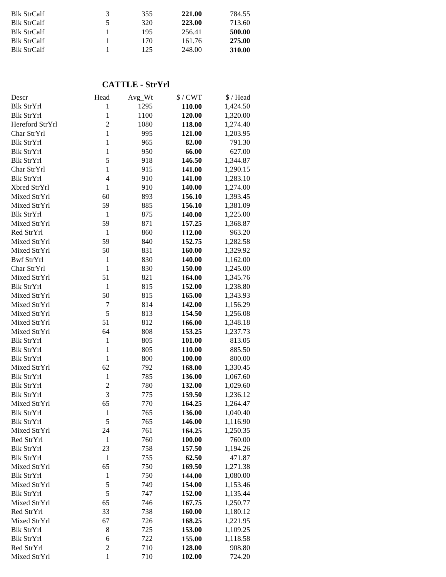| 3 | 355 | 221.00 | 784.55 |
|---|-----|--------|--------|
| 5 | 320 | 223.00 | 713.60 |
|   | 195 | 256.41 | 500.00 |
|   | 170 | 161.76 | 275.00 |
|   | 125 | 248.00 | 310.00 |
|   |     |        |        |

## **CATTLE - StrYrl**

| Descr             | Head           | Avg_Wt | $$/$ CWT | \$/Head  |
|-------------------|----------------|--------|----------|----------|
| <b>Blk StrYrl</b> | 1              | 1295   | 110.00   | 1,424.50 |
| <b>Blk StrYrl</b> | $\mathbf{1}$   | 1100   | 120.00   | 1,320.00 |
| Hereford StrYrl   | $\overline{2}$ | 1080   | 118.00   | 1,274.40 |
| Char StrYrl       | $\mathbf{1}$   | 995    | 121.00   | 1,203.95 |
| <b>Blk StrYrl</b> | $\mathbf{1}$   | 965    | 82.00    | 791.30   |
| <b>Blk StrYrl</b> | $\mathbf{1}$   | 950    | 66.00    | 627.00   |
| <b>Blk StrYrl</b> | 5              | 918    | 146.50   | 1,344.87 |
| Char StrYrl       | $\mathbf{1}$   | 915    | 141.00   | 1,290.15 |
| <b>Blk StrYrl</b> | $\overline{4}$ | 910    | 141.00   | 1,283.10 |
| Xbred StrYrl      | $\mathbf{1}$   | 910    | 140.00   | 1,274.00 |
| Mixed StrYrl      | 60             | 893    | 156.10   | 1,393.45 |
| Mixed StrYrl      | 59             | 885    | 156.10   | 1,381.09 |
| <b>Blk StrYrl</b> | 1              | 875    | 140.00   | 1,225.00 |
| Mixed StrYrl      | 59             | 871    | 157.25   | 1,368.87 |
| Red StrYrl        | $\mathbf{1}$   | 860    | 112.00   | 963.20   |
| Mixed StrYrl      | 59             | 840    | 152.75   | 1,282.58 |
| Mixed StrYrl      | 50             | 831    | 160.00   | 1,329.92 |
| <b>Bwf StrYrl</b> | $\mathbf{1}$   | 830    | 140.00   | 1,162.00 |
| Char StrYrl       | $\mathbf{1}$   | 830    | 150.00   | 1,245.00 |
| Mixed StrYrl      | 51             | 821    | 164.00   | 1,345.76 |
| <b>Blk StrYrl</b> | $\mathbf{1}$   | 815    | 152.00   | 1,238.80 |
| Mixed StrYrl      | 50             | 815    | 165.00   | 1,343.93 |
| Mixed StrYrl      | $\tau$         | 814    | 142.00   | 1,156.29 |
| Mixed StrYrl      | 5              | 813    | 154.50   | 1,256.08 |
| Mixed StrYrl      | 51             | 812    | 166.00   | 1,348.18 |
| Mixed StrYrl      | 64             | 808    | 153.25   | 1,237.73 |
| <b>Blk StrYrl</b> | $\mathbf{1}$   | 805    | 101.00   | 813.05   |
| <b>Blk StrYrl</b> | $\mathbf{1}$   | 805    | 110.00   | 885.50   |
| <b>Blk StrYrl</b> | $\mathbf{1}$   | 800    | 100.00   | 800.00   |
| Mixed StrYrl      | 62             | 792    | 168.00   | 1,330.45 |
| <b>Blk StrYrl</b> | $\mathbf{1}$   | 785    | 136.00   | 1,067.60 |
| <b>Blk StrYrl</b> | $\overline{c}$ | 780    | 132.00   | 1,029.60 |
| <b>Blk StrYrl</b> | 3              | 775    | 159.50   | 1,236.12 |
| Mixed StrYrl      | 65             | 770    | 164.25   | 1,264.47 |
| <b>Blk StrYrl</b> | $\mathbf{1}$   | 765    | 136.00   | 1,040.40 |
| Blk StrYrl        | 5              | 765    | 146.00   | 1,116.90 |
| Mixed StrYrl      | 24             | 761    | 164.25   | 1,250.35 |
| Red StrYrl        | $\mathbf{1}$   | 760    | 100.00   | 760.00   |
| <b>Blk StrYrl</b> | 23             | 758    | 157.50   | 1,194.26 |
| <b>Blk StrYrl</b> | $\mathbf{1}$   | 755    | 62.50    | 471.87   |
| Mixed StrYrl      | 65             | 750    | 169.50   | 1,271.38 |
| <b>Blk StrYrl</b> | $\mathbf{1}$   | 750    | 144.00   | 1,080.00 |
| Mixed StrYrl      | 5              | 749    | 154.00   | 1,153.46 |
| <b>Blk StrYrl</b> | 5              | 747    | 152.00   | 1,135.44 |
| Mixed StrYrl      | 65             | 746    | 167.75   | 1,250.77 |
| Red StrYrl        | 33             | 738    | 160.00   | 1,180.12 |
| Mixed StrYrl      | 67             | 726    | 168.25   | 1,221.95 |
| <b>Blk StrYrl</b> | 8              | 725    | 153.00   | 1,109.25 |
| <b>Blk StrYrl</b> | 6              | 722    | 155.00   | 1,118.58 |
| Red StrYrl        | $\overline{2}$ | 710    | 128.00   | 908.80   |
| Mixed StrYrl      | $\mathbf{1}$   | 710    | 102.00   | 724.20   |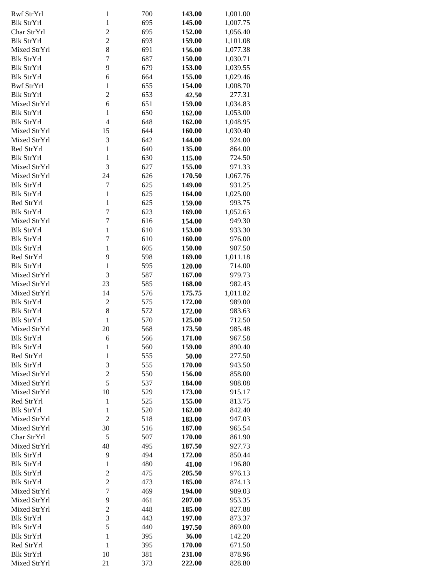| Rwf StrYrl        | $\mathbf{1}$     | 700 | 143.00 | 1,001.00 |
|-------------------|------------------|-----|--------|----------|
| <b>Blk StrYrl</b> | $\mathbf{1}$     | 695 | 145.00 | 1,007.75 |
| Char StrYrl       | $\overline{2}$   | 695 | 152.00 | 1,056.40 |
|                   |                  |     |        |          |
| <b>Blk StrYrl</b> | $\overline{2}$   | 693 | 159.00 | 1,101.08 |
| Mixed StrYrl      | 8                | 691 | 156.00 | 1,077.38 |
|                   |                  |     |        |          |
| <b>Blk StrYrl</b> | $\overline{7}$   | 687 | 150.00 | 1,030.71 |
| <b>Blk StrYrl</b> | 9                | 679 | 153.00 | 1,039.55 |
|                   |                  |     |        |          |
| <b>Blk StrYrl</b> | 6                | 664 | 155.00 | 1,029.46 |
| <b>Bwf StrYrl</b> | $\mathbf{1}$     | 655 | 154.00 | 1,008.70 |
| <b>Blk StrYrl</b> | $\overline{c}$   | 653 | 42.50  | 277.31   |
|                   |                  |     |        |          |
| Mixed StrYrl      | 6                | 651 | 159.00 | 1,034.83 |
| <b>Blk StrYrl</b> | $\mathbf{1}$     | 650 | 162.00 | 1,053.00 |
|                   |                  |     |        |          |
| <b>Blk StrYrl</b> | $\overline{4}$   | 648 | 162.00 | 1,048.95 |
| Mixed StrYrl      | 15               | 644 | 160.00 | 1,030.40 |
| Mixed StrYrl      | 3                | 642 | 144.00 | 924.00   |
|                   |                  |     |        |          |
| Red StrYrl        | $\mathbf{1}$     | 640 | 135.00 | 864.00   |
| <b>Blk StrYrl</b> | $\mathbf{1}$     | 630 | 115.00 | 724.50   |
|                   |                  |     |        |          |
| Mixed StrYrl      | 3                | 627 | 155.00 | 971.33   |
| Mixed StrYrl      | 24               | 626 | 170.50 | 1,067.76 |
|                   |                  |     | 149.00 |          |
| <b>Blk StrYrl</b> | 7                | 625 |        | 931.25   |
| <b>Blk StrYrl</b> | $\mathbf{1}$     | 625 | 164.00 | 1,025.00 |
| Red StrYrl        | $\mathbf{1}$     | 625 | 159.00 | 993.75   |
|                   |                  |     |        |          |
| <b>Blk StrYrl</b> | $\overline{7}$   | 623 | 169.00 | 1,052.63 |
| Mixed StrYrl      | $\overline{7}$   | 616 | 154.00 | 949.30   |
|                   |                  |     |        |          |
| <b>Blk StrYrl</b> | $\mathbf{1}$     | 610 | 153.00 | 933.30   |
| <b>Blk StrYrl</b> | $\overline{7}$   | 610 | 160.00 | 976.00   |
| <b>Blk StrYrl</b> | $\mathbf{1}$     | 605 | 150.00 | 907.50   |
|                   |                  |     |        |          |
| Red StrYrl        | 9                | 598 | 169.00 | 1,011.18 |
| <b>Blk StrYrl</b> | $\mathbf{1}$     | 595 | 120.00 | 714.00   |
|                   |                  |     |        |          |
| Mixed StrYrl      | 3                | 587 | 167.00 | 979.73   |
| Mixed StrYrl      | 23               | 585 | 168.00 | 982.43   |
| Mixed StrYrl      | 14               | 576 | 175.75 | 1,011.82 |
|                   |                  |     |        |          |
| <b>Blk StrYrl</b> | $\overline{c}$   | 575 | 172.00 | 989.00   |
| <b>Blk StrYrl</b> | 8                | 572 | 172.00 | 983.63   |
|                   |                  |     |        |          |
| <b>Blk StrYrl</b> | $\mathbf{1}$     | 570 | 125.00 | 712.50   |
| Mixed StrYrl      | 20               | 568 | 173.50 | 985.48   |
| <b>Blk StrYrl</b> |                  | 566 | 171.00 | 967.58   |
|                   | 6                |     |        |          |
| <b>Blk StrYrl</b> | $\mathbf{1}$     | 560 | 159.00 | 890.40   |
| Red StrYrl        | $\mathbf{1}$     | 555 | 50.00  | 277.50   |
|                   |                  |     |        |          |
| <b>Blk StrYrl</b> | 3                | 555 | 170.00 | 943.50   |
| Mixed StrYrl      | $\overline{c}$   | 550 | 156.00 | 858.00   |
| Mixed StrYrl      | 5                | 537 | 184.00 | 988.08   |
|                   |                  |     |        |          |
| Mixed StrYrl      | 10               | 529 | 173.00 | 915.17   |
| Red StrYrl        | $\mathbf{1}$     | 525 | 155.00 | 813.75   |
|                   |                  |     |        |          |
| <b>Blk StrYrl</b> | $\mathbf 1$      | 520 | 162.00 | 842.40   |
| Mixed StrYrl      | $\overline{2}$   | 518 | 183.00 | 947.03   |
| Mixed StrYrl      | 30               | 516 | 187.00 | 965.54   |
|                   |                  |     |        |          |
| Char StrYrl       | $\sqrt{5}$       | 507 | 170.00 | 861.90   |
| Mixed StrYrl      | 48               | 495 | 187.50 | 927.73   |
|                   |                  |     |        |          |
| <b>Blk StrYrl</b> | 9                | 494 | 172.00 | 850.44   |
| <b>Blk StrYrl</b> | $\mathbf{1}$     | 480 | 41.00  | 196.80   |
| <b>Blk StrYrl</b> | $\mathfrak{2}$   | 475 | 205.50 | 976.13   |
|                   |                  |     |        |          |
| <b>Blk StrYrl</b> | $\sqrt{2}$       | 473 | 185.00 | 874.13   |
| Mixed StrYrl      | $\overline{7}$   | 469 | 194.00 | 909.03   |
|                   |                  |     |        |          |
| Mixed StrYrl      | 9                | 461 | 207.00 | 953.35   |
| Mixed StrYrl      | $\boldsymbol{2}$ | 448 | 185.00 | 827.88   |
| <b>Blk StrYrl</b> | 3                | 443 | 197.00 | 873.37   |
|                   |                  |     |        |          |
| <b>Blk StrYrl</b> | 5                | 440 | 197.50 | 869.00   |
| <b>Blk StrYrl</b> | $\mathbf{1}$     | 395 | 36.00  | 142.20   |
| Red StrYrl        | 1                | 395 | 170.00 | 671.50   |
|                   |                  |     |        |          |
| <b>Blk StrYrl</b> | 10               | 381 | 231.00 | 878.96   |
| Mixed StrYrl      | 21               | 373 | 222.00 | 828.80   |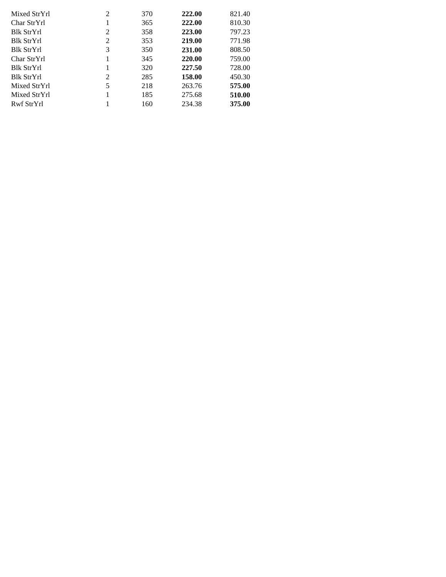| Mixed StrYrl      | 2 | 370 | 222.00 | 821.40 |
|-------------------|---|-----|--------|--------|
| Char StrYrl       |   | 365 | 222.00 | 810.30 |
| <b>Blk StrYrl</b> | 2 | 358 | 223.00 | 797.23 |
| <b>Blk StrYrl</b> | 2 | 353 | 219.00 | 771.98 |
| <b>Blk StrYrl</b> | 3 | 350 | 231.00 | 808.50 |
| Char StrYrl       | 1 | 345 | 220.00 | 759.00 |
| <b>Blk StrYrl</b> |   | 320 | 227.50 | 728.00 |
| <b>Blk StrYrl</b> | 2 | 285 | 158.00 | 450.30 |
| Mixed StrYrl      | 5 | 218 | 263.76 | 575.00 |
| Mixed StrYrl      |   | 185 | 275.68 | 510.00 |
| Rwf StrYrl        |   | 160 | 234.38 | 375.00 |